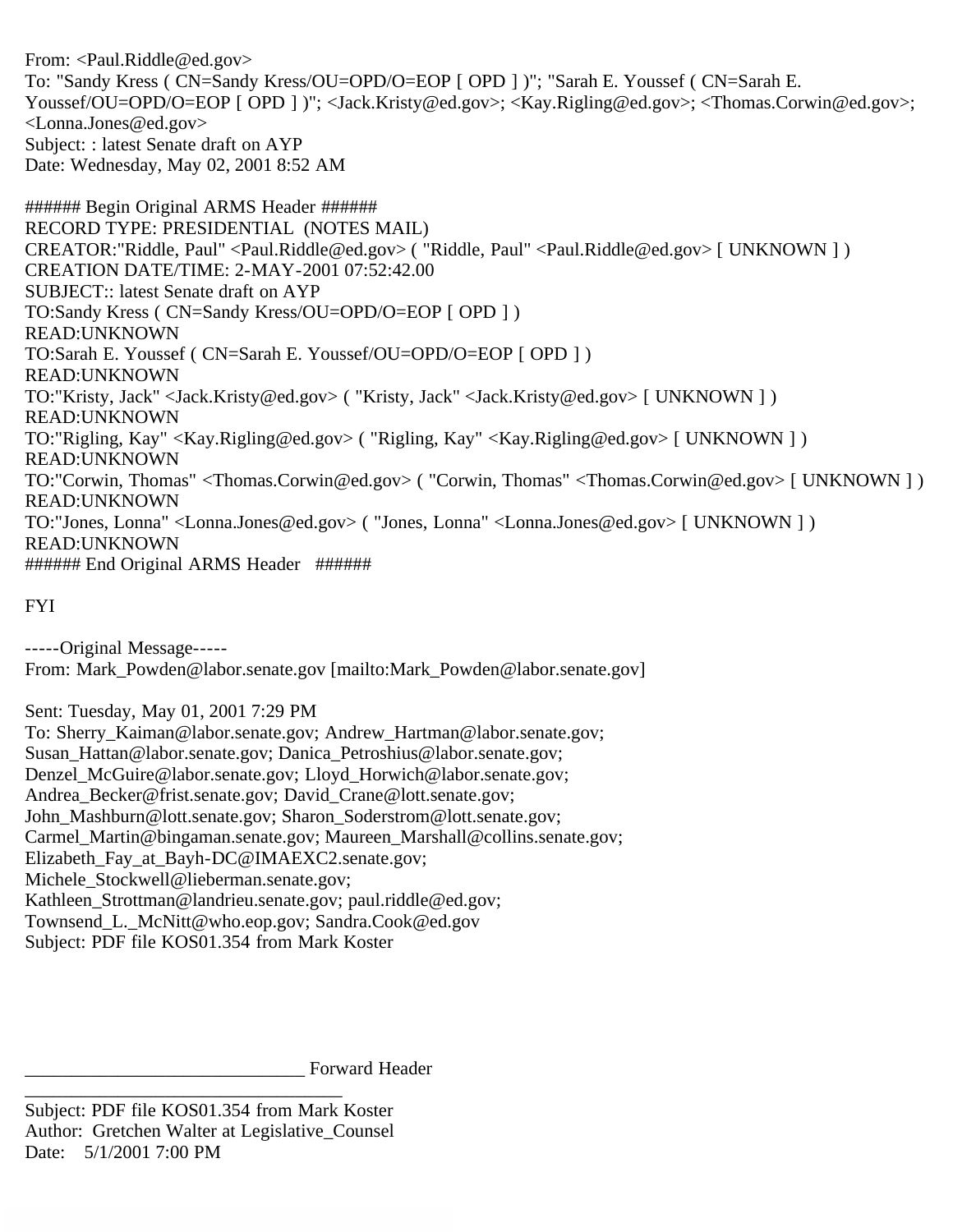From: <Paul.Riddle@ed.gov> To: "Sandy Kress ( CN=Sandy Kress/OU=OPD/O=EOP [ OPD ] )"; "Sarah E. Youssef ( CN=Sarah E. Youssef/OU=OPD/O=EOP [ OPD ] )"; <Jack.Kristy@ed.gov>; <Kay.Rigling@ed.gov>; <Thomas.Corwin@ed.gov>; <Lonna.Jones@ed.gov> Subject: : latest Senate draft on AYP Date: Wednesday, May 02, 2001 8:52 AM

###### Begin Original ARMS Header ###### RECORD TYPE: PRESIDENTIAL (NOTES MAIL) CREATOR:"Riddle, Paul" <Paul.Riddle@ed.gov> ( "Riddle, Paul" <Paul.Riddle@ed.gov> [ UNKNOWN ] ) CREATION DATE/TIME: 2-MAY-2001 07:52:42.00 SUBJECT:: latest Senate draft on AYP TO:Sandy Kress ( CN=Sandy Kress/OU=OPD/O=EOP [ OPD ] ) READ:UNKNOWN TO:Sarah E. Youssef ( CN=Sarah E. Youssef/OU=OPD/O=EOP [ OPD ] ) READ:UNKNOWN TO:"Kristy, Jack" <Jack.Kristy@ed.gov> ( "Kristy, Jack" <Jack.Kristy@ed.gov> [ UNKNOWN ] ) READ:UNKNOWN TO:"Rigling, Kay" <Kay.Rigling@ed.gov> ( "Rigling, Kay" <Kay.Rigling@ed.gov> [ UNKNOWN ] ) READ:UNKNOWN TO:"Corwin, Thomas" <Thomas.Corwin@ed.gov> ( "Corwin, Thomas" <Thomas.Corwin@ed.gov> [ UNKNOWN ] ) READ:UNKNOWN TO:"Jones, Lonna" <Lonna.Jones@ed.gov> ( "Jones, Lonna" <Lonna.Jones@ed.gov> [ UNKNOWN ] ) READ:UNKNOWN ###### End Original ARMS Header ######

FYI

-----Original Message----- From: Mark\_Powden@labor.senate.gov [mailto:Mark\_Powden@labor.senate.gov]

Sent: Tuesday, May 01, 2001 7:29 PM

To: Sherry\_Kaiman@labor.senate.gov; Andrew\_Hartman@labor.senate.gov; Susan\_Hattan@labor.senate.gov; Danica\_Petroshius@labor.senate.gov; Denzel\_McGuire@labor.senate.gov; Lloyd\_Horwich@labor.senate.gov; Andrea\_Becker@frist.senate.gov; David\_Crane@lott.senate.gov; John\_Mashburn@lott.senate.gov; Sharon\_Soderstrom@lott.senate.gov; Carmel\_Martin@bingaman.senate.gov; Maureen\_Marshall@collins.senate.gov; Elizabeth Fay at Bayh-DC@IMAEXC2.senate.gov; Michele\_Stockwell@lieberman.senate.gov; Kathleen Strottman@landrieu.senate.gov; paul.riddle@ed.gov; Townsend\_L.\_McNitt@who.eop.gov; Sandra.Cook@ed.gov Subject: PDF file KOS01.354 from Mark Koster

Forward Header \_\_\_\_\_\_\_\_\_\_\_\_\_\_\_\_\_\_\_\_\_\_\_\_\_\_\_\_\_\_\_\_\_\_

Subject: PDF file KOS01.354 from Mark Koster Author: Gretchen Walter at Legislative\_Counsel Date: 5/1/2001 7:00 PM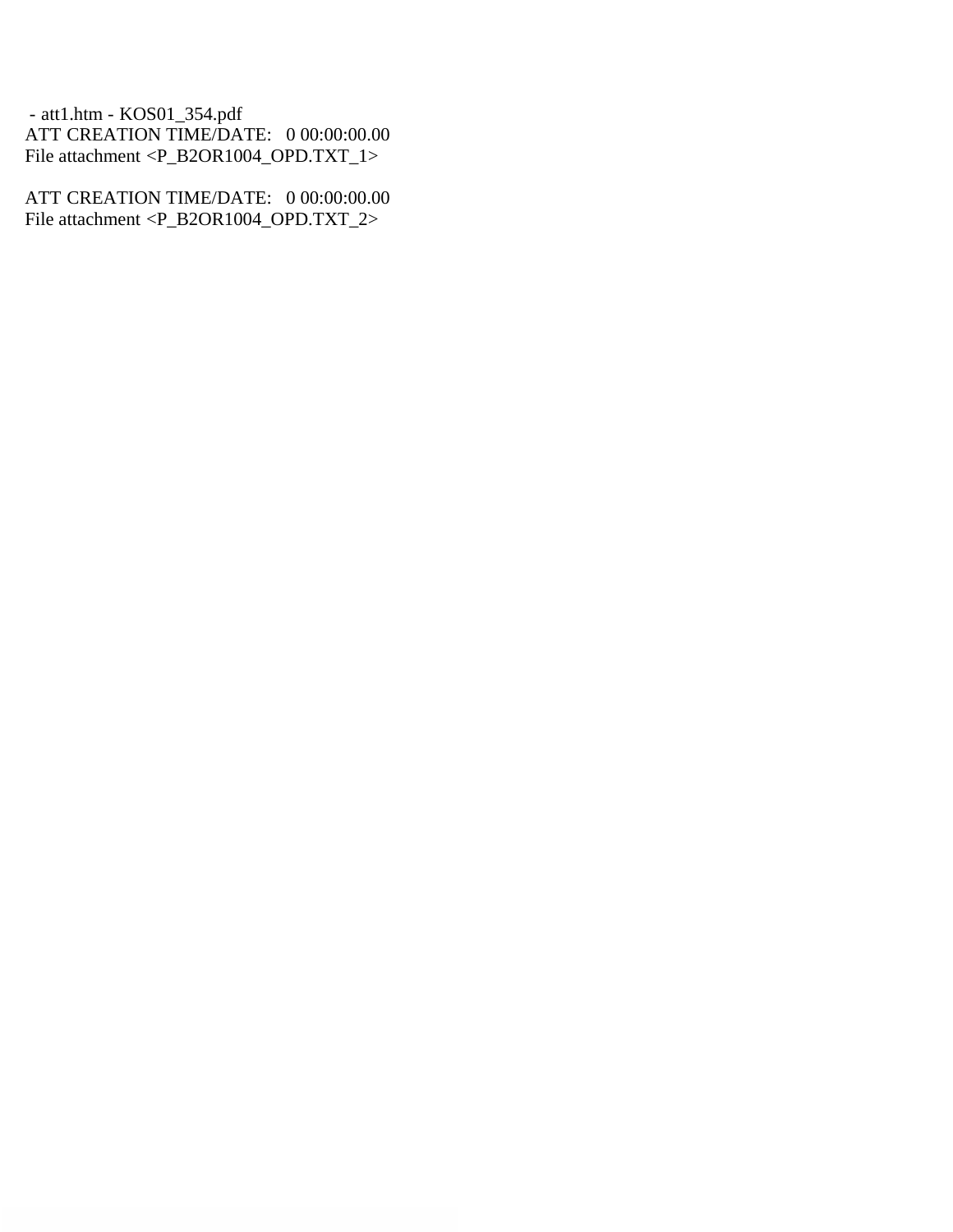- att1.htm - KOS01\_354.pdf ATT CREATION TIME/DATE: 0 00:00:00.00 File attachment <P\_B2OR1004\_OPD.TXT\_1>

ATT CREATION TIME/DATE: 0 00:00:00.00 File attachment <P\_B2OR1004\_OPD.TXT\_2>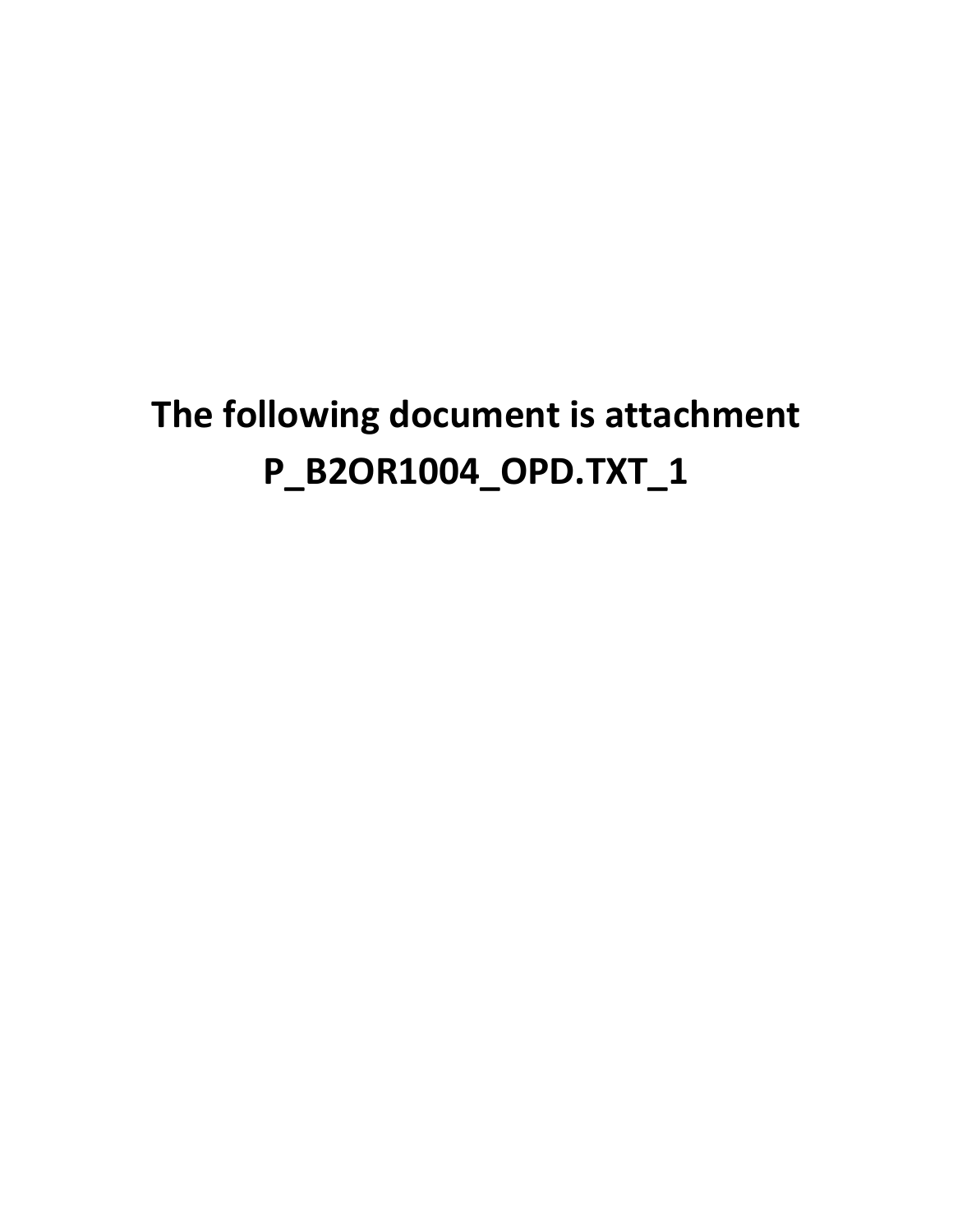## **The following document is attachment P\_B2OR1004\_OPD.TXT\_1**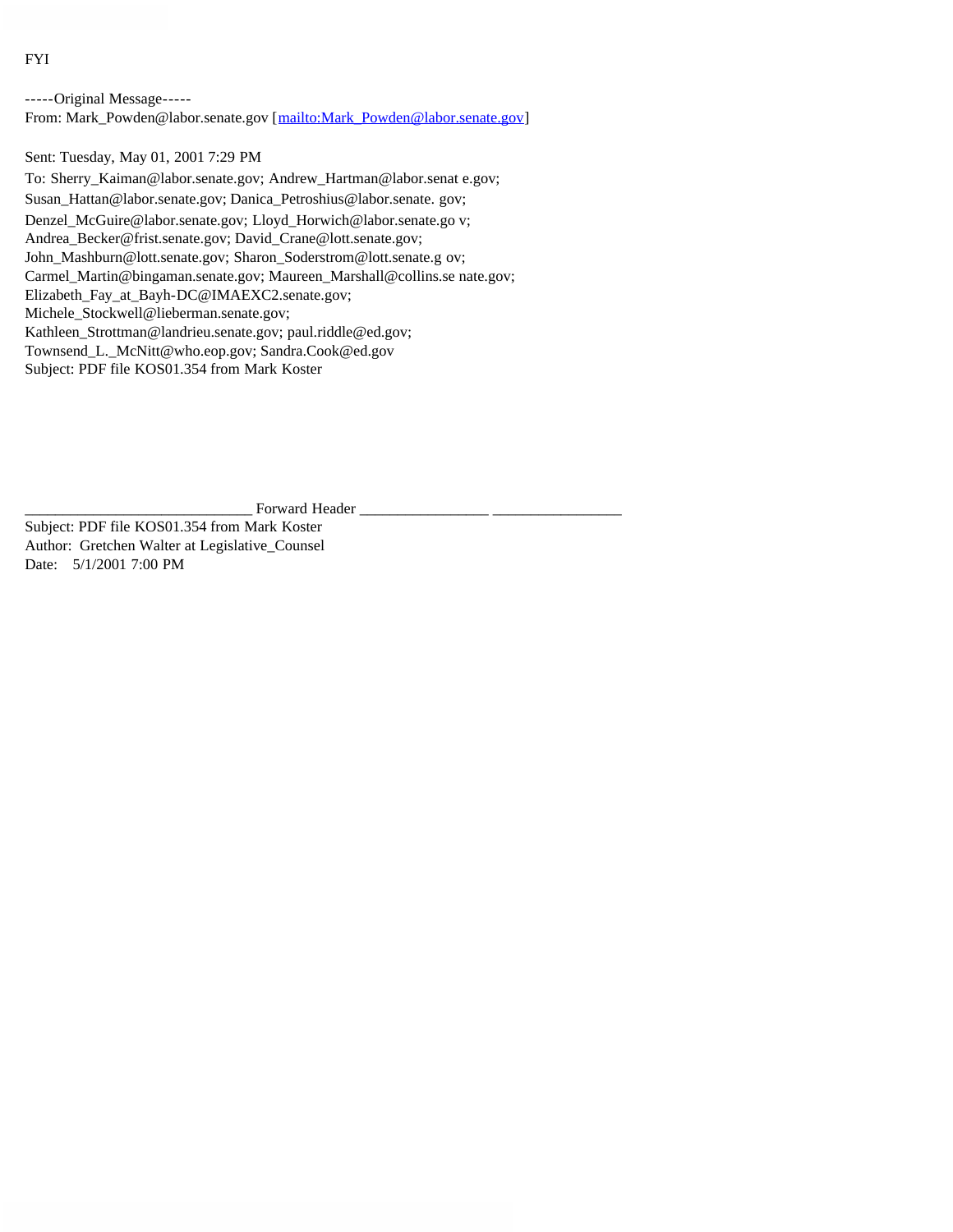FYI

-----Original Message----- From: Mark\_Powden@labor.senate.gov [mailto:Mark\_Powden@labor.senate.gov]

Sent: Tuesday, May 01, 2001 7:29 PM

To: Sherry\_Kaiman@labor.senate.gov; Andrew\_Hartman@labor.senat e.gov; Susan\_Hattan@labor.senate.gov; Danica\_Petroshius@labor.senate. gov; Denzel\_McGuire@labor.senate.gov; Lloyd\_Horwich@labor.senate.go v; Andrea\_Becker@frist.senate.gov; David\_Crane@lott.senate.gov; John\_Mashburn@lott.senate.gov; Sharon\_Soderstrom@lott.senate.g ov; Carmel\_Martin@bingaman.senate.gov; Maureen\_Marshall@collins.se nate.gov; Elizabeth\_Fay\_at\_Bayh-DC@IMAEXC2.senate.gov; Michele\_Stockwell@lieberman.senate.gov; Kathleen\_Strottman@landrieu.senate.gov; paul.riddle@ed.gov; Townsend\_L.\_McNitt@who.eop.gov; Sandra.Cook@ed.gov Subject: PDF file KOS01.354 from Mark Koster

Forward Header

Subject: PDF file KOS01.354 from Mark Koster Author: Gretchen Walter at Legislative\_Counsel Date: 5/1/2001 7:00 PM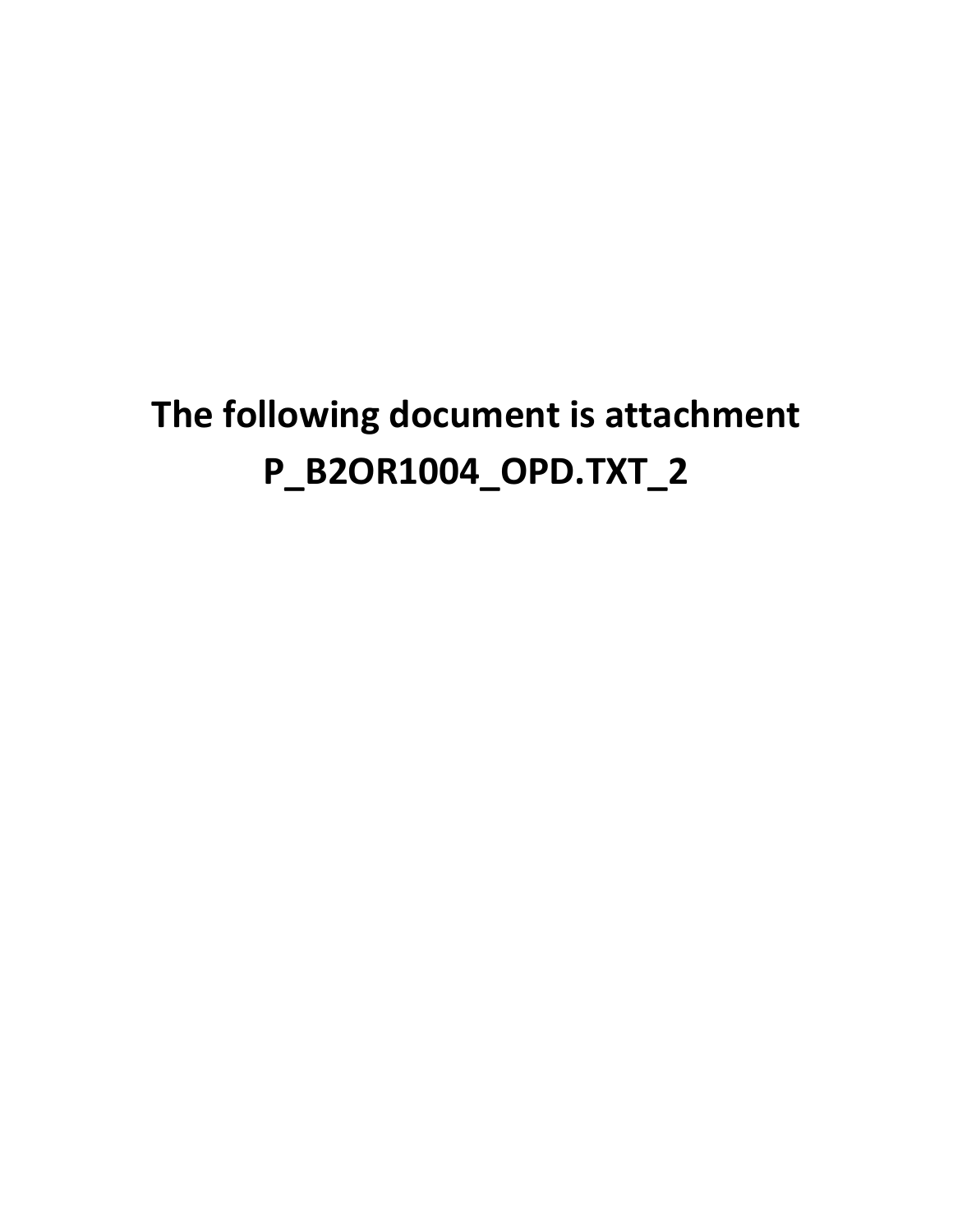## **The following document is attachment P\_B2OR1004\_OPD.TXT\_2**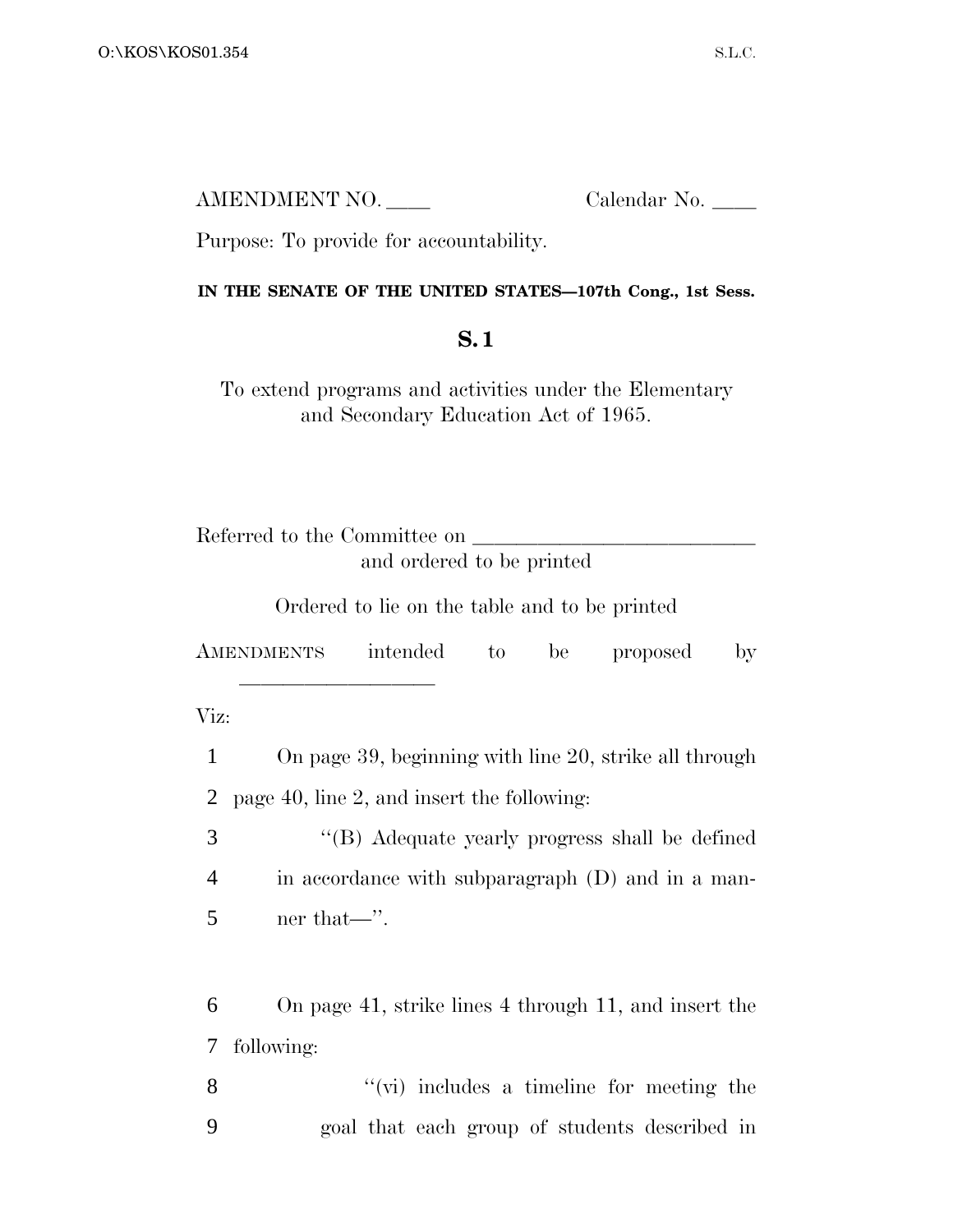AMENDMENT NO. Calendar No.

Purpose: To provide for accountability.

<u>llille i statistike og et al. 1999 ble statistike og et al. 1999 ble statistike og et al. 1999 ble statistike </u>

## **IN THE SENATE OF THE UNITED STATES—107th Cong., 1st Sess.**

## **S. 1**

To extend programs and activities under the Elementary and Secondary Education Act of 1965.

| Referred to the Committee on |                           |
|------------------------------|---------------------------|
|                              | and ordered to be printed |

Ordered to lie on the table and to be printed

AMENDMENTS intended to be proposed by

Viz:

 On page 39, beginning with line 20, strike all through page 40, line 2, and insert the following: ''(B) Adequate yearly progress shall be defined in accordance with subparagraph (D) and in a man- ner that—''. On page 41, strike lines 4 through 11, and insert the following: 8 ''(vi) includes a timeline for meeting the

9 goal that each group of students described in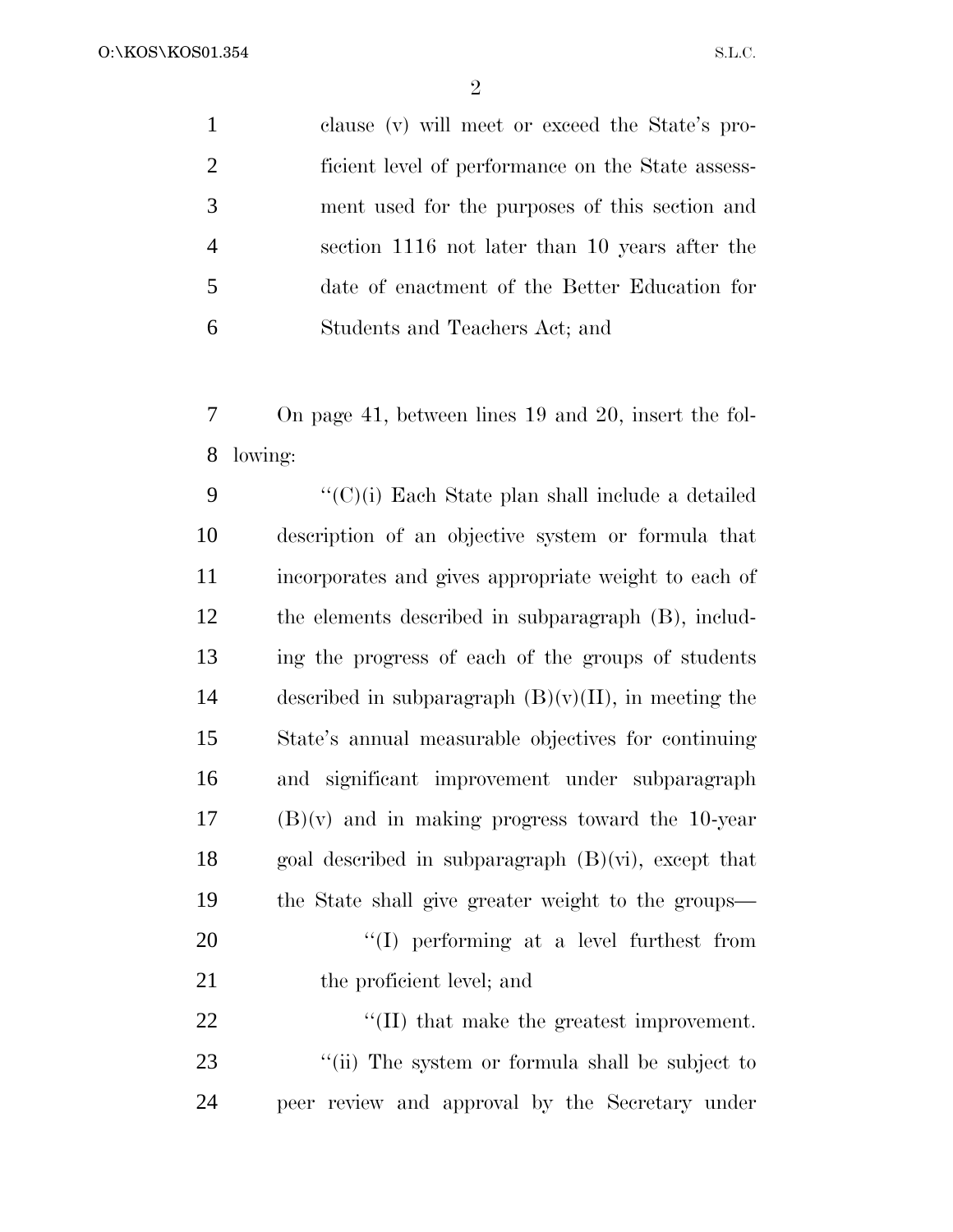O:\KOS\KOS01.354

| $\mathbf{1}$   | clause (v) will meet or exceed the State's pro-   |
|----------------|---------------------------------------------------|
| 2              | ficient level of performance on the State assess- |
| 3              | ment used for the purposes of this section and    |
| $\overline{4}$ | section 1116 not later than 10 years after the    |
| 5              | date of enactment of the Better Education for     |
| 6              | Students and Teachers Act; and                    |
|                |                                                   |

 On page 41, between lines 19 and 20, insert the fol-lowing:

 ''(C)(i) Each State plan shall include a detailed description of an objective system or formula that incorporates and gives appropriate weight to each of the elements described in subparagraph (B), includ- ing the progress of each of the groups of students 14 described in subparagraph  $(B)(v)(II)$ , in meeting the State's annual measurable objectives for continuing and significant improvement under subparagraph (B)(v) and in making progress toward the 10-year 18 goal described in subparagraph  $(B)(vi)$ , except that the State shall give greater weight to the groups—  $\text{``(I)}$  performing at a level furthest from 21 the proficient level; and  $\text{``(II)}$  that make the greatest improvement. 23 ''(ii) The system or formula shall be subject to

peer review and approval by the Secretary under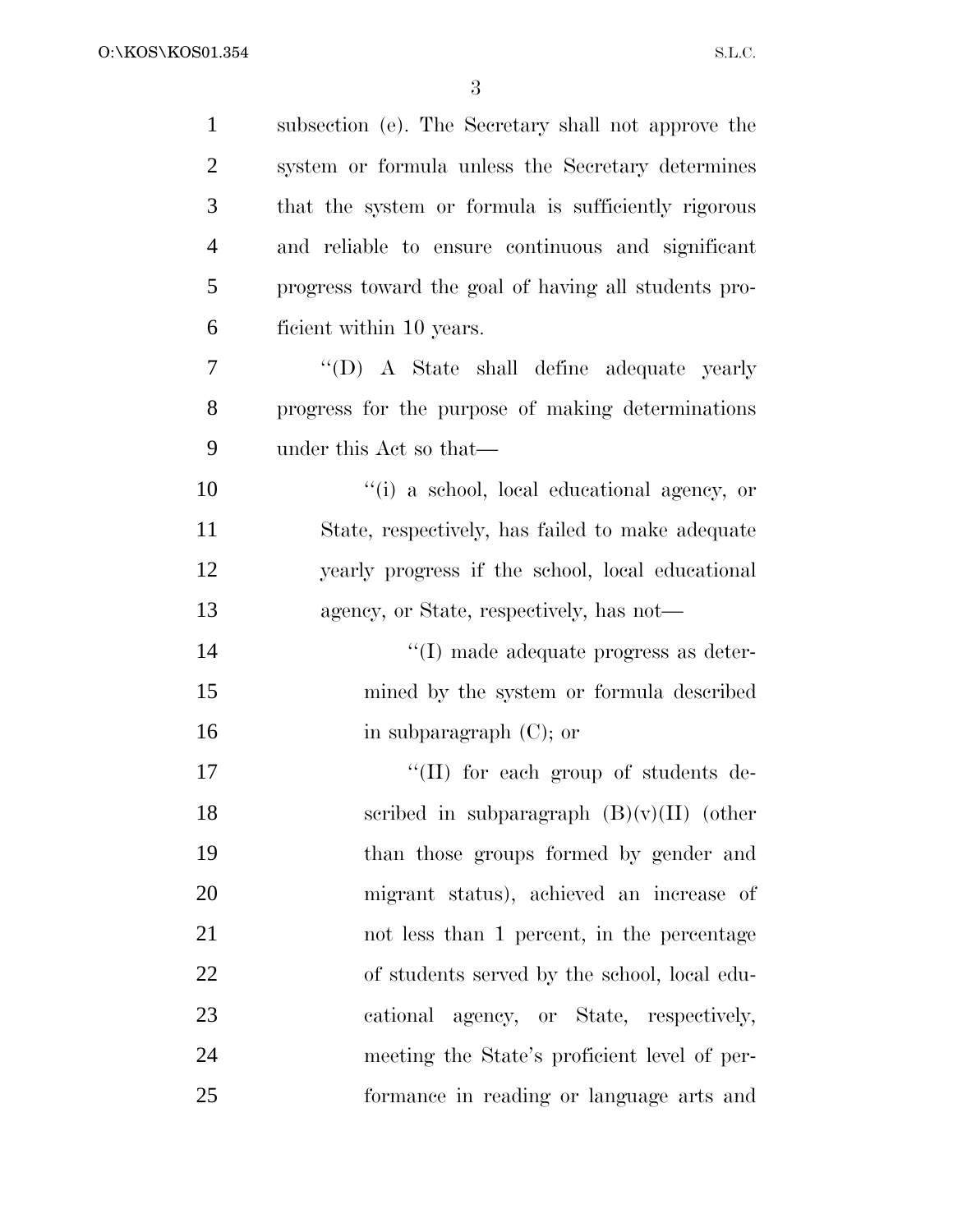| $\mathbf{1}$   | subsection (e). The Secretary shall not approve the  |
|----------------|------------------------------------------------------|
| $\overline{2}$ | system or formula unless the Secretary determines    |
| 3              | that the system or formula is sufficiently rigorous  |
| $\overline{4}$ | and reliable to ensure continuous and significant    |
| 5              | progress toward the goal of having all students pro- |
| 6              | ficient within 10 years.                             |
| 7              | $\lq\lq$ (D) A State shall define adequate yearly    |
| 8              | progress for the purpose of making determinations    |
| 9              | under this Act so that—                              |
| 10             | "(i) a school, local educational agency, or          |
| 11             | State, respectively, has failed to make adequate     |
| 12             | yearly progress if the school, local educational     |
| 13             | agency, or State, respectively, has not—             |
| 14             | $\lq\lq$ (I) made adequate progress as deter-        |
| 15             | mined by the system or formula described             |
| 16             | in subparagraph $(C)$ ; or                           |
| 17             | $\lq\lq$ (II) for each group of students de-         |
| 18             | scribed in subparagraph $(B)(v)(II)$ (other          |
| 19             | than those groups formed by gender and               |
| 20             | migrant status), achieved an increase of             |
| 21             | not less than 1 percent, in the percentage           |
| 22             | of students served by the school, local edu-         |
| 23             | cational agency, or State, respectively,             |
| 24             | meeting the State's proficient level of per-         |
| 25             | formance in reading or language arts and             |